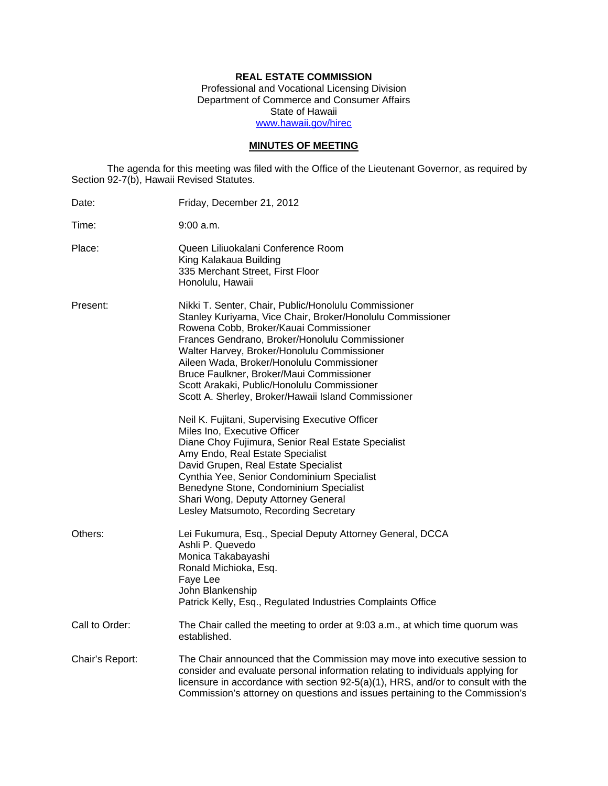# **REAL ESTATE COMMISSION**

Professional and Vocational Licensing Division Department of Commerce and Consumer Affairs State of Hawaii www.hawaii.gov/hirec

## **MINUTES OF MEETING**

The agenda for this meeting was filed with the Office of the Lieutenant Governor, as required by Section 92-7(b), Hawaii Revised Statutes.

| Date:           | Friday, December 21, 2012                                                                                                                                                                                                                                                                                                                                                                                                                                    |
|-----------------|--------------------------------------------------------------------------------------------------------------------------------------------------------------------------------------------------------------------------------------------------------------------------------------------------------------------------------------------------------------------------------------------------------------------------------------------------------------|
| Time:           | 9:00 a.m.                                                                                                                                                                                                                                                                                                                                                                                                                                                    |
| Place:          | Queen Liliuokalani Conference Room<br>King Kalakaua Building<br>335 Merchant Street, First Floor<br>Honolulu, Hawaii                                                                                                                                                                                                                                                                                                                                         |
| Present:        | Nikki T. Senter, Chair, Public/Honolulu Commissioner<br>Stanley Kuriyama, Vice Chair, Broker/Honolulu Commissioner<br>Rowena Cobb, Broker/Kauai Commissioner<br>Frances Gendrano, Broker/Honolulu Commissioner<br>Walter Harvey, Broker/Honolulu Commissioner<br>Aileen Wada, Broker/Honolulu Commissioner<br>Bruce Faulkner, Broker/Maui Commissioner<br>Scott Arakaki, Public/Honolulu Commissioner<br>Scott A. Sherley, Broker/Hawaii Island Commissioner |
|                 | Neil K. Fujitani, Supervising Executive Officer<br>Miles Ino, Executive Officer<br>Diane Choy Fujimura, Senior Real Estate Specialist<br>Amy Endo, Real Estate Specialist<br>David Grupen, Real Estate Specialist<br>Cynthia Yee, Senior Condominium Specialist<br>Benedyne Stone, Condominium Specialist<br>Shari Wong, Deputy Attorney General<br>Lesley Matsumoto, Recording Secretary                                                                    |
| Others:         | Lei Fukumura, Esq., Special Deputy Attorney General, DCCA<br>Ashli P. Quevedo<br>Monica Takabayashi<br>Ronald Michioka, Esq.<br>Faye Lee<br>John Blankenship<br>Patrick Kelly, Esq., Regulated Industries Complaints Office                                                                                                                                                                                                                                  |
| Call to Order:  | The Chair called the meeting to order at 9:03 a.m., at which time quorum was<br>established.                                                                                                                                                                                                                                                                                                                                                                 |
| Chair's Report: | The Chair announced that the Commission may move into executive session to<br>consider and evaluate personal information relating to individuals applying for<br>licensure in accordance with section $92-5(a)(1)$ , HRS, and/or to consult with the<br>Commission's attorney on questions and issues pertaining to the Commission's                                                                                                                         |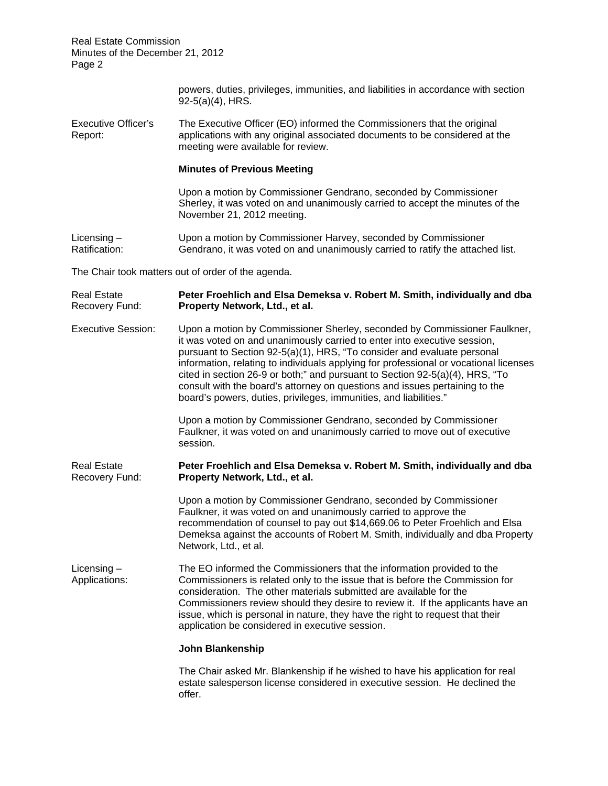> powers, duties, privileges, immunities, and liabilities in accordance with section 92-5(a)(4), HRS.

Executive Officer's The Executive Officer (EO) informed the Commissioners that the original Report: applications with any original associated documents to be considered at the meeting were available for review.

### **Minutes of Previous Meeting**

Upon a motion by Commissioner Gendrano, seconded by Commissioner Sherley, it was voted on and unanimously carried to accept the minutes of the November 21, 2012 meeting.

Licensing – Upon a motion by Commissioner Harvey, seconded by Commissioner Ratification: Gendrano, it was voted on and unanimously carried to ratify the attached list.

The Chair took matters out of order of the agenda.

Real Estate **Peter Froehlich and Elsa Demeksa v. Robert M. Smith, individually and dba**  Recovery Fund: **Property Network, Ltd., et al.** 

Executive Session: Upon a motion by Commissioner Sherley, seconded by Commissioner Faulkner, it was voted on and unanimously carried to enter into executive session, pursuant to Section 92-5(a)(1), HRS, "To consider and evaluate personal information, relating to individuals applying for professional or vocational licenses cited in section 26-9 or both;" and pursuant to Section 92-5(a)(4), HRS, "To consult with the board's attorney on questions and issues pertaining to the board's powers, duties, privileges, immunities, and liabilities."

> Upon a motion by Commissioner Gendrano, seconded by Commissioner Faulkner, it was voted on and unanimously carried to move out of executive session.

Real Estate **Peter Froehlich and Elsa Demeksa v. Robert M. Smith, individually and dba**  Recovery Fund: **Property Network, Ltd., et al.** 

> Upon a motion by Commissioner Gendrano, seconded by Commissioner Faulkner, it was voted on and unanimously carried to approve the recommendation of counsel to pay out \$14,669.06 to Peter Froehlich and Elsa Demeksa against the accounts of Robert M. Smith, individually and dba Property Network, Ltd., et al.

Licensing – The EO informed the Commissioners that the information provided to the Applications: Commissioners is related only to the issue that is before the Commission for consideration. The other materials submitted are available for the Commissioners review should they desire to review it. If the applicants have an issue, which is personal in nature, they have the right to request that their application be considered in executive session.

### **John Blankenship**

The Chair asked Mr. Blankenship if he wished to have his application for real estate salesperson license considered in executive session. He declined the offer.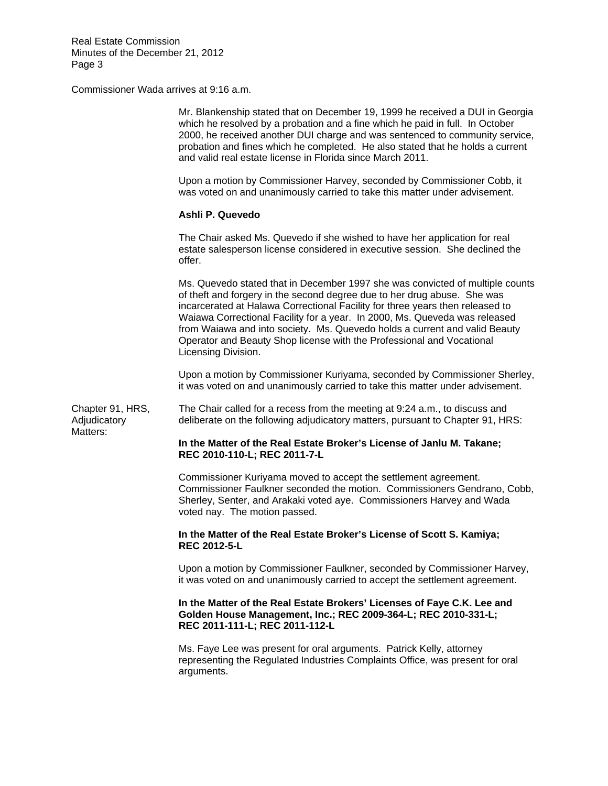Commissioner Wada arrives at 9:16 a.m.

|                                              | Mr. Blankenship stated that on December 19, 1999 he received a DUI in Georgia<br>which he resolved by a probation and a fine which he paid in full. In October<br>2000, he received another DUI charge and was sentenced to community service,<br>probation and fines which he completed. He also stated that he holds a current<br>and valid real estate license in Florida since March 2011.                                                                                                         |
|----------------------------------------------|--------------------------------------------------------------------------------------------------------------------------------------------------------------------------------------------------------------------------------------------------------------------------------------------------------------------------------------------------------------------------------------------------------------------------------------------------------------------------------------------------------|
| Chapter 91, HRS,<br>Adjudicatory<br>Matters: | Upon a motion by Commissioner Harvey, seconded by Commissioner Cobb, it<br>was voted on and unanimously carried to take this matter under advisement.                                                                                                                                                                                                                                                                                                                                                  |
|                                              | Ashli P. Quevedo                                                                                                                                                                                                                                                                                                                                                                                                                                                                                       |
|                                              | The Chair asked Ms. Quevedo if she wished to have her application for real<br>estate salesperson license considered in executive session. She declined the<br>offer.                                                                                                                                                                                                                                                                                                                                   |
|                                              | Ms. Quevedo stated that in December 1997 she was convicted of multiple counts<br>of theft and forgery in the second degree due to her drug abuse. She was<br>incarcerated at Halawa Correctional Facility for three years then released to<br>Waiawa Correctional Facility for a year. In 2000, Ms. Queveda was released<br>from Waiawa and into society. Ms. Quevedo holds a current and valid Beauty<br>Operator and Beauty Shop license with the Professional and Vocational<br>Licensing Division. |
|                                              | Upon a motion by Commissioner Kuriyama, seconded by Commissioner Sherley,<br>it was voted on and unanimously carried to take this matter under advisement.                                                                                                                                                                                                                                                                                                                                             |
|                                              | The Chair called for a recess from the meeting at 9:24 a.m., to discuss and<br>deliberate on the following adjudicatory matters, pursuant to Chapter 91, HRS:                                                                                                                                                                                                                                                                                                                                          |
|                                              | In the Matter of the Real Estate Broker's License of Janlu M. Takane;<br>REC 2010-110-L; REC 2011-7-L                                                                                                                                                                                                                                                                                                                                                                                                  |
|                                              | Commissioner Kuriyama moved to accept the settlement agreement.<br>Commissioner Faulkner seconded the motion. Commissioners Gendrano, Cobb,<br>Sherley, Senter, and Arakaki voted aye. Commissioners Harvey and Wada<br>voted nay. The motion passed.                                                                                                                                                                                                                                                  |
|                                              | In the Matter of the Real Estate Broker's License of Scott S. Kamiya;<br><b>REC 2012-5-L</b>                                                                                                                                                                                                                                                                                                                                                                                                           |
|                                              | Upon a motion by Commissioner Faulkner, seconded by Commissioner Harvey,<br>it was voted on and unanimously carried to accept the settlement agreement.                                                                                                                                                                                                                                                                                                                                                |
|                                              | In the Matter of the Real Estate Brokers' Licenses of Faye C.K. Lee and<br>Golden House Management, Inc.; REC 2009-364-L; REC 2010-331-L;<br>REC 2011-111-L; REC 2011-112-L                                                                                                                                                                                                                                                                                                                            |
|                                              | Ms. Faye Lee was present for oral arguments. Patrick Kelly, attorney<br>representing the Regulated Industries Complaints Office, was present for oral<br>arguments.                                                                                                                                                                                                                                                                                                                                    |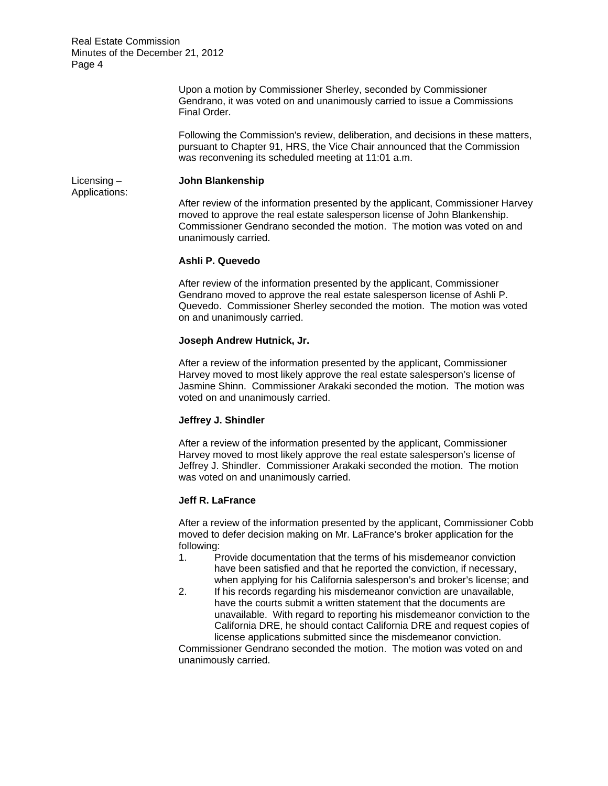> Upon a motion by Commissioner Sherley, seconded by Commissioner Gendrano, it was voted on and unanimously carried to issue a Commissions Final Order.

Following the Commission's review, deliberation, and decisions in these matters, pursuant to Chapter 91, HRS, the Vice Chair announced that the Commission was reconvening its scheduled meeting at 11:01 a.m.

Applications:

### Licensing – **John Blankenship**

After review of the information presented by the applicant, Commissioner Harvey moved to approve the real estate salesperson license of John Blankenship. Commissioner Gendrano seconded the motion. The motion was voted on and unanimously carried.

### **Ashli P. Quevedo**

After review of the information presented by the applicant, Commissioner Gendrano moved to approve the real estate salesperson license of Ashli P. Quevedo. Commissioner Sherley seconded the motion. The motion was voted on and unanimously carried.

## **Joseph Andrew Hutnick, Jr.**

After a review of the information presented by the applicant, Commissioner Harvey moved to most likely approve the real estate salesperson's license of Jasmine Shinn. Commissioner Arakaki seconded the motion. The motion was voted on and unanimously carried.

# **Jeffrey J. Shindler**

After a review of the information presented by the applicant, Commissioner Harvey moved to most likely approve the real estate salesperson's license of Jeffrey J. Shindler. Commissioner Arakaki seconded the motion. The motion was voted on and unanimously carried.

### **Jeff R. LaFrance**

After a review of the information presented by the applicant, Commissioner Cobb moved to defer decision making on Mr. LaFrance's broker application for the following:

- 1. Provide documentation that the terms of his misdemeanor conviction have been satisfied and that he reported the conviction, if necessary, when applying for his California salesperson's and broker's license; and
- 2. If his records regarding his misdemeanor conviction are unavailable, have the courts submit a written statement that the documents are unavailable. With regard to reporting his misdemeanor conviction to the California DRE, he should contact California DRE and request copies of license applications submitted since the misdemeanor conviction.

Commissioner Gendrano seconded the motion. The motion was voted on and unanimously carried.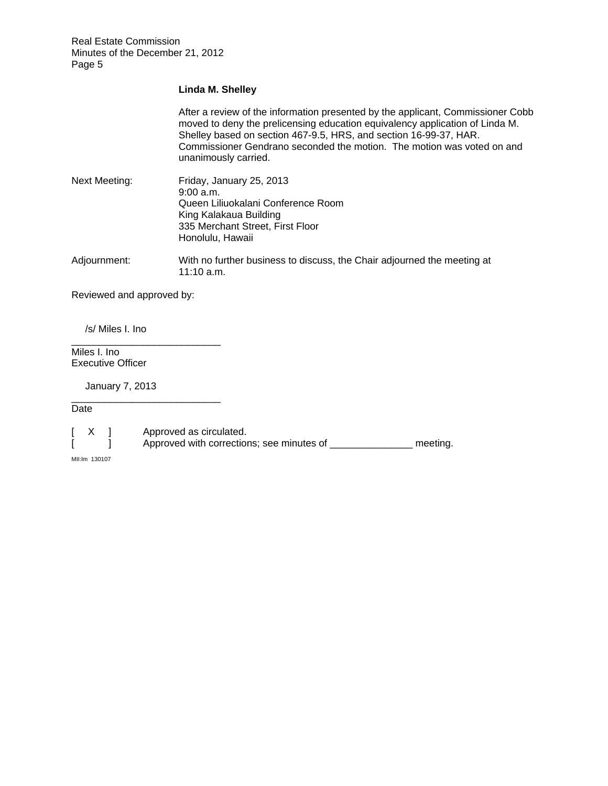### **Linda M. Shelley**

After a review of the information presented by the applicant, Commissioner Cobb moved to deny the prelicensing education equivalency application of Linda M. Shelley based on section 467-9.5, HRS, and section 16-99-37, HAR. Commissioner Gendrano seconded the motion. The motion was voted on and unanimously carried.

| Next Meeting: | Friday, January 25, 2013           |
|---------------|------------------------------------|
|               | 9:00 a.m.                          |
|               | Queen Liliuokalani Conference Room |
|               | King Kalakaua Building             |
|               | 335 Merchant Street, First Floor   |
|               | Honolulu, Hawaii                   |
|               |                                    |

Adjournment: With no further business to discuss, the Chair adjourned the meeting at 11:10 a.m.

Reviewed and approved by:

\_\_\_\_\_\_\_\_\_\_\_\_\_\_\_\_\_\_\_\_\_\_\_\_\_\_\_

\_\_\_\_\_\_\_\_\_\_\_\_\_\_\_\_\_\_\_\_\_\_\_\_\_\_\_

/s/ Miles I. Ino

Miles I. Ino. Executive Officer

January 7, 2013

Date

[ X ] Approved as circulated.<br>[ ] Approved with correction [ ] Approved with corrections; see minutes of \_\_\_\_\_\_\_\_\_\_\_\_\_\_\_\_ meeting.

MII:lm 130107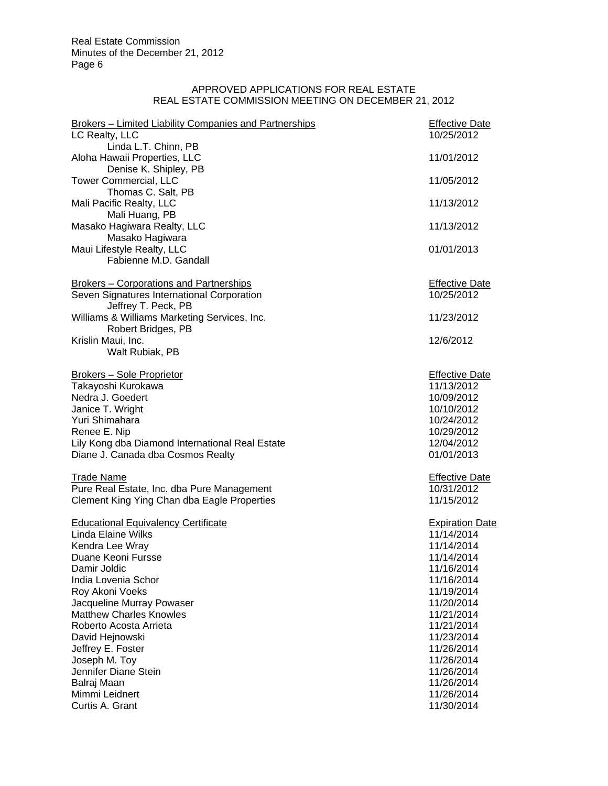# APPROVED APPLICATIONS FOR REAL ESTATE REAL ESTATE COMMISSION MEETING ON DECEMBER 21, 2012

| <b>Brokers - Limited Liability Companies and Partnerships</b><br>LC Realty, LLC | <b>Effective Date</b><br>10/25/2012 |
|---------------------------------------------------------------------------------|-------------------------------------|
| Linda L.T. Chinn, PB<br>Aloha Hawaii Properties, LLC                            | 11/01/2012                          |
| Denise K. Shipley, PB                                                           |                                     |
| <b>Tower Commercial, LLC</b><br>Thomas C. Salt, PB                              | 11/05/2012                          |
| Mali Pacific Realty, LLC                                                        | 11/13/2012                          |
| Mali Huang, PB<br>Masako Hagiwara Realty, LLC                                   | 11/13/2012                          |
| Masako Hagiwara                                                                 |                                     |
| Maui Lifestyle Realty, LLC                                                      | 01/01/2013                          |
| Fabienne M.D. Gandall                                                           |                                     |
| <b>Brokers – Corporations and Partnerships</b>                                  | <b>Effective Date</b>               |
| Seven Signatures International Corporation<br>Jeffrey T. Peck, PB               | 10/25/2012                          |
| Williams & Williams Marketing Services, Inc.<br>Robert Bridges, PB              | 11/23/2012                          |
| Krislin Maui, Inc.                                                              | 12/6/2012                           |
| Walt Rubiak, PB                                                                 |                                     |
| Brokers - Sole Proprietor                                                       | <b>Effective Date</b>               |
| Takayoshi Kurokawa                                                              | 11/13/2012                          |
| Nedra J. Goedert                                                                | 10/09/2012                          |
| Janice T. Wright                                                                | 10/10/2012                          |
| Yuri Shimahara                                                                  | 10/24/2012                          |
| Renee E. Nip                                                                    | 10/29/2012                          |
| Lily Kong dba Diamond International Real Estate                                 | 12/04/2012                          |
| Diane J. Canada dba Cosmos Realty                                               | 01/01/2013                          |
| <b>Trade Name</b>                                                               | <b>Effective Date</b>               |
| Pure Real Estate, Inc. dba Pure Management                                      | 10/31/2012                          |
| Clement King Ying Chan dba Eagle Properties                                     | 11/15/2012                          |
| <b>Educational Equivalency Certificate</b>                                      | <b>Expiration Date</b>              |
| Linda Elaine Wilks                                                              | 11/14/2014                          |
| Kendra Lee Wray                                                                 | 11/14/2014                          |
| Duane Keoni Fursse                                                              | 11/14/2014                          |
| Damir Joldic                                                                    | 11/16/2014                          |
| India Lovenia Schor                                                             | 11/16/2014                          |
| Roy Akoni Voeks                                                                 | 11/19/2014                          |
| Jacqueline Murray Powaser                                                       | 11/20/2014                          |
| <b>Matthew Charles Knowles</b>                                                  | 11/21/2014                          |
| Roberto Acosta Arrieta                                                          | 11/21/2014                          |
| David Hejnowski                                                                 | 11/23/2014                          |
| Jeffrey E. Foster<br>Joseph M. Toy                                              | 11/26/2014<br>11/26/2014            |
| Jennifer Diane Stein                                                            | 11/26/2014                          |
| Balraj Maan                                                                     | 11/26/2014                          |
| Mimmi Leidnert                                                                  | 11/26/2014                          |
| Curtis A. Grant                                                                 | 11/30/2014                          |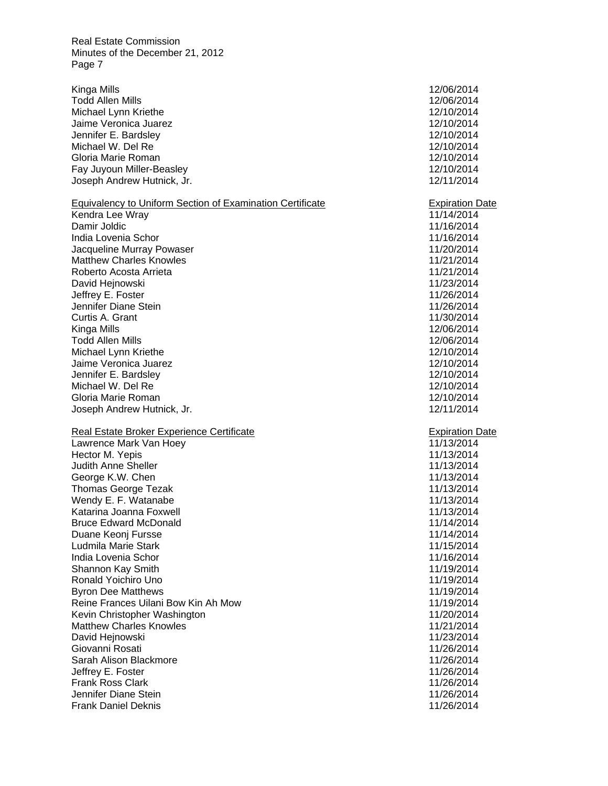Michael Lynn Kriethe 12/10/2014 Michael Lynn Kriethe 12/10/2014 Kinga Mills 12/06/2014 Todd Allen Mills 12/06/2014 Jaime Veronica Juarez 12/10/2014 Jennifer E. Bardsley 12/10/2014 Michael W. Del Re 12/10/2014 Gloria Marie Roman 12/10/2014 Fay Juyoun Miller-Beasley 12/10/2014 Joseph Andrew Hutnick, Jr. 12/11/2014 Equivalency to Uniform Section of Examination Certificate Expiration Date Kendra Lee Wray 11/14/2014 Damir Joldic 11/16/2014 India Lovenia Schor 11/16/2014 Jacqueline Murray Powaser 11/20/2014 Matthew Charles Knowles 11/21/2014 Roberto Acosta Arrieta 11/21/2014 | 11/21/2014 David Hejnowski 11/23/2014 Jeffrey E. Foster 11/26/2014 Jennifer Diane Stein 11/26/2014 Curtis A. Grant 11/30/2014 Kinga Mills 12/06/2014 Todd Allen Mills 12/06/2014 Jaime Veronica Juarez 2002 12/10/2014 Jennifer E. Bardsley 12/10/2014 Michael W. Del Re 12/10/2014 Gloria Marie Roman 12/10/2014 Joseph Andrew Hutnick, Jr. 12/11/2014 Real Estate Broker Experience Certificate **Expiration Date** Expiration Date Lawrence Mark Van Hoey 11/13/2014 Hector M. Yepis 2008 and the United States of the United States 11/13/2014 Judith Anne Sheller 11/13/2014 George K.W. Chen 11/13/2014 Thomas George Tezak 11/13/2014 Wendy E. F. Watanabe Katarina Joanna Foxwell **11/13/2014** Bruce Edward McDonald 2008 and 2009 and 2012 and 2014 and 2014 and 2014 and 2014 and 2014 and 2014 and 2014 and 2014 and 2014 and 2014 and 2016 and 2016 and 2017 and 2017 and 2017 and 2017 and 2017 and 2017 and 2017 and 20 Duane Keonj Fursse 11/14/2014 Ludmila Marie Stark 11/15/2014 India Lovenia Schor 11/16/2014 Shannon Kay Smith 11/19/2014 Ronald Yoichiro Uno 11/19/2014 Byron Dee Matthews 11/19/2014 Reine Frances Uilani Bow Kin Ah Mow 11/19/2014 Kevin Christopher Washington 11/20/2014 Matthew Charles Knowles 11/21/2014 David Hejnowski 11/23/2014 Giovanni Rosati **11/26/2014** Sarah Alison Blackmore **11/26/2014** Jeffrey E. Foster 11/26/2014 Frank Ross Clark 11/26/2014 Jennifer Diane Stein 11/26/2014 Frank Daniel Deknis 11/26/2014

11/16/2014 11/13/2014